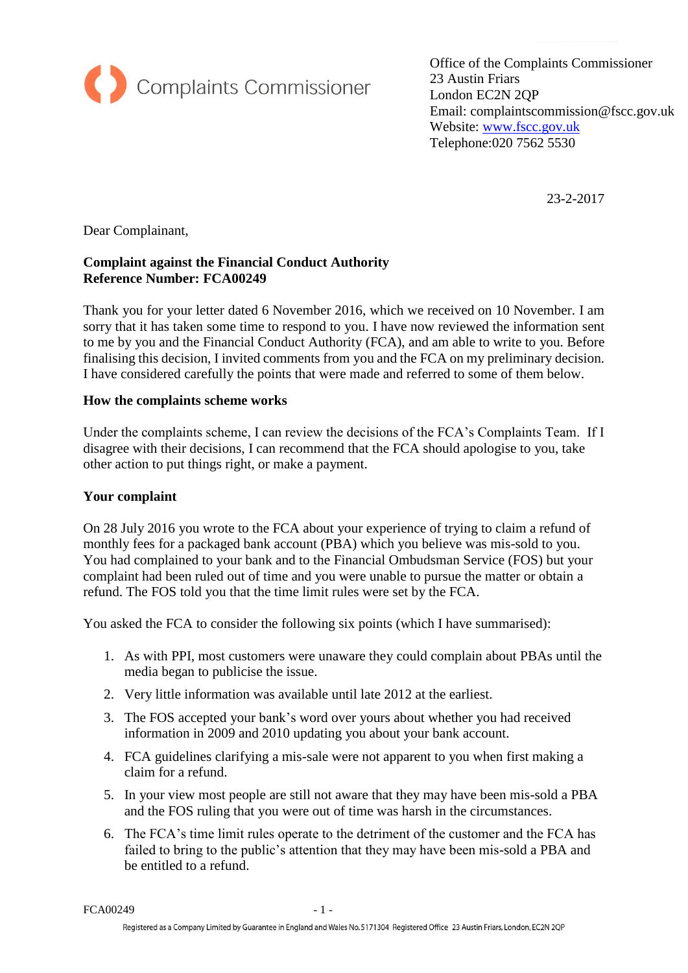

Office of the Complaints Commissioner 23 Austin Friars London EC2N 2QP Email: complaintscommission@fscc.gov.uk Website: [www.fscc.gov.uk](http://www.fscc.gov.uk/) Telephone:020 7562 5530

23-2-2017

Dear Complainant,

# **Complaint against the Financial Conduct Authority Reference Number: FCA00249**

Thank you for your letter dated 6 November 2016, which we received on 10 November. I am sorry that it has taken some time to respond to you. I have now reviewed the information sent to me by you and the Financial Conduct Authority (FCA), and am able to write to you. Before finalising this decision, I invited comments from you and the FCA on my preliminary decision. I have considered carefully the points that were made and referred to some of them below.

### **How the complaints scheme works**

Under the complaints scheme, I can review the decisions of the FCA's Complaints Team. If I disagree with their decisions, I can recommend that the FCA should apologise to you, take other action to put things right, or make a payment.

#### **Your complaint**

On 28 July 2016 you wrote to the FCA about your experience of trying to claim a refund of monthly fees for a packaged bank account (PBA) which you believe was mis-sold to you. You had complained to your bank and to the Financial Ombudsman Service (FOS) but your complaint had been ruled out of time and you were unable to pursue the matter or obtain a refund. The FOS told you that the time limit rules were set by the FCA.

You asked the FCA to consider the following six points (which I have summarised):

- 1. As with PPI, most customers were unaware they could complain about PBAs until the media began to publicise the issue.
- 2. Very little information was available until late 2012 at the earliest.
- 3. The FOS accepted your bank's word over yours about whether you had received information in 2009 and 2010 updating you about your bank account.
- 4. FCA guidelines clarifying a mis-sale were not apparent to you when first making a claim for a refund.
- 5. In your view most people are still not aware that they may have been mis-sold a PBA and the FOS ruling that you were out of time was harsh in the circumstances.
- 6. The FCA's time limit rules operate to the detriment of the customer and the FCA has failed to bring to the public's attention that they may have been mis-sold a PBA and be entitled to a refund.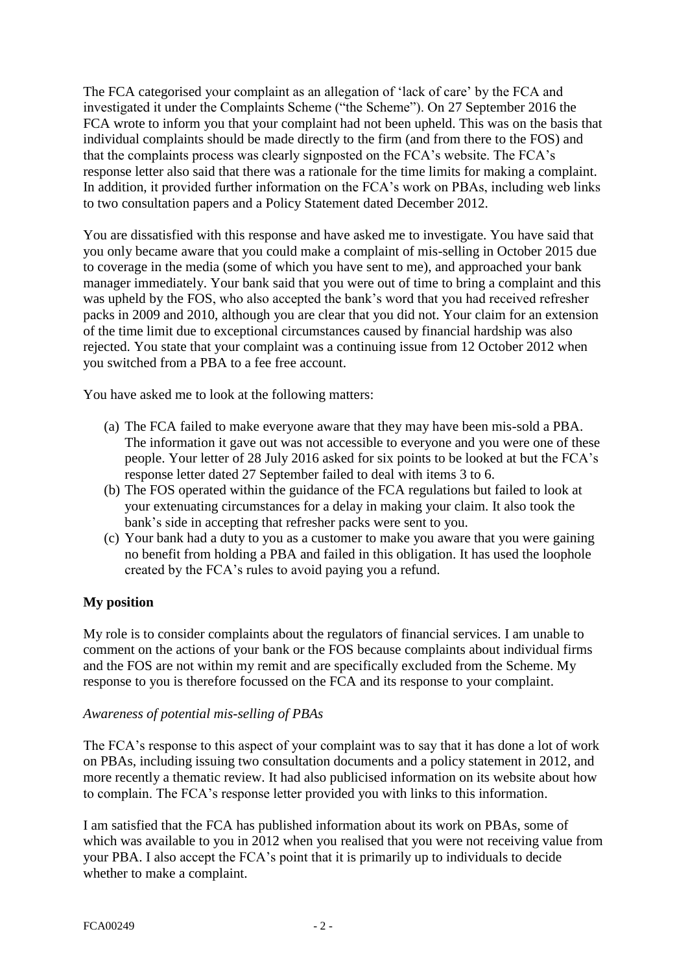The FCA categorised your complaint as an allegation of 'lack of care' by the FCA and investigated it under the Complaints Scheme ("the Scheme"). On 27 September 2016 the FCA wrote to inform you that your complaint had not been upheld. This was on the basis that individual complaints should be made directly to the firm (and from there to the FOS) and that the complaints process was clearly signposted on the FCA's website. The FCA's response letter also said that there was a rationale for the time limits for making a complaint. In addition, it provided further information on the FCA's work on PBAs, including web links to two consultation papers and a Policy Statement dated December 2012.

You are dissatisfied with this response and have asked me to investigate. You have said that you only became aware that you could make a complaint of mis-selling in October 2015 due to coverage in the media (some of which you have sent to me), and approached your bank manager immediately. Your bank said that you were out of time to bring a complaint and this was upheld by the FOS, who also accepted the bank's word that you had received refresher packs in 2009 and 2010, although you are clear that you did not. Your claim for an extension of the time limit due to exceptional circumstances caused by financial hardship was also rejected. You state that your complaint was a continuing issue from 12 October 2012 when you switched from a PBA to a fee free account.

You have asked me to look at the following matters:

- (a) The FCA failed to make everyone aware that they may have been mis-sold a PBA. The information it gave out was not accessible to everyone and you were one of these people. Your letter of 28 July 2016 asked for six points to be looked at but the FCA's response letter dated 27 September failed to deal with items 3 to 6.
- (b) The FOS operated within the guidance of the FCA regulations but failed to look at your extenuating circumstances for a delay in making your claim. It also took the bank's side in accepting that refresher packs were sent to you.
- (c) Your bank had a duty to you as a customer to make you aware that you were gaining no benefit from holding a PBA and failed in this obligation. It has used the loophole created by the FCA's rules to avoid paying you a refund.

## **My position**

My role is to consider complaints about the regulators of financial services. I am unable to comment on the actions of your bank or the FOS because complaints about individual firms and the FOS are not within my remit and are specifically excluded from the Scheme. My response to you is therefore focussed on the FCA and its response to your complaint.

#### *Awareness of potential mis-selling of PBAs*

The FCA's response to this aspect of your complaint was to say that it has done a lot of work on PBAs, including issuing two consultation documents and a policy statement in 2012, and more recently a thematic review. It had also publicised information on its website about how to complain. The FCA's response letter provided you with links to this information.

I am satisfied that the FCA has published information about its work on PBAs, some of which was available to you in 2012 when you realised that you were not receiving value from your PBA. I also accept the FCA's point that it is primarily up to individuals to decide whether to make a complaint.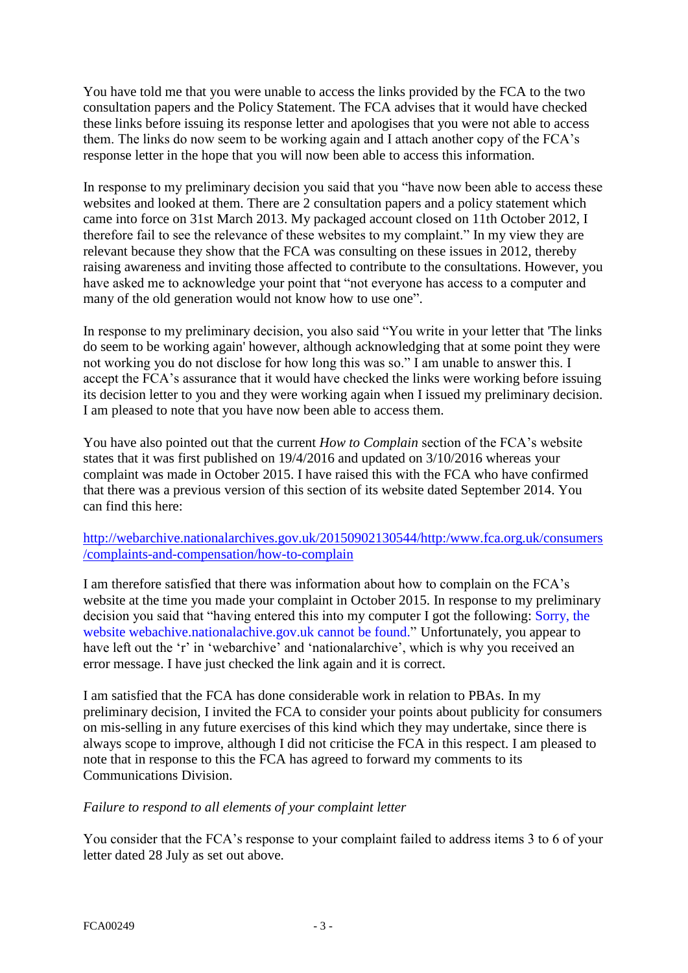You have told me that you were unable to access the links provided by the FCA to the two consultation papers and the Policy Statement. The FCA advises that it would have checked these links before issuing its response letter and apologises that you were not able to access them. The links do now seem to be working again and I attach another copy of the FCA's response letter in the hope that you will now been able to access this information.

In response to my preliminary decision you said that you "have now been able to access these websites and looked at them. There are 2 consultation papers and a policy statement which came into force on 31st March 2013. My packaged account closed on 11th October 2012, I therefore fail to see the relevance of these websites to my complaint." In my view they are relevant because they show that the FCA was consulting on these issues in 2012, thereby raising awareness and inviting those affected to contribute to the consultations. However, you have asked me to acknowledge your point that "not everyone has access to a computer and many of the old generation would not know how to use one".

In response to my preliminary decision, you also said "You write in your letter that 'The links do seem to be working again' however, although acknowledging that at some point they were not working you do not disclose for how long this was so." I am unable to answer this. I accept the FCA's assurance that it would have checked the links were working before issuing its decision letter to you and they were working again when I issued my preliminary decision. I am pleased to note that you have now been able to access them.

You have also pointed out that the current *How to Complain* section of the FCA's website states that it was first published on 19/4/2016 and updated on 3/10/2016 whereas your complaint was made in October 2015. I have raised this with the FCA who have confirmed that there was a previous version of this section of its website dated September 2014. You can find this here:

## [http://webarchive.nationalarchives.gov.uk/20150902130544/http:/www.fca.org.uk/consumers](http://webarchive.nationalarchives.gov.uk/20150902130544/http:/www.fca.org.uk/consumers/complaints-and-compensation/how-to-complain) [/complaints-and-compensation/how-to-complain](http://webarchive.nationalarchives.gov.uk/20150902130544/http:/www.fca.org.uk/consumers/complaints-and-compensation/how-to-complain)

I am therefore satisfied that there was information about how to complain on the FCA's website at the time you made your complaint in October 2015. In response to my preliminary decision you said that "having entered this into my computer I got the following: Sorry, the website webachive.nationalachive.gov.uk cannot be found." Unfortunately, you appear to have left out the 'r' in 'webarchive' and 'nationalarchive', which is why you received an error message. I have just checked the link again and it is correct.

I am satisfied that the FCA has done considerable work in relation to PBAs. In my preliminary decision, I invited the FCA to consider your points about publicity for consumers on mis-selling in any future exercises of this kind which they may undertake, since there is always scope to improve, although I did not criticise the FCA in this respect. I am pleased to note that in response to this the FCA has agreed to forward my comments to its Communications Division.

## *Failure to respond to all elements of your complaint letter*

You consider that the FCA's response to your complaint failed to address items 3 to 6 of your letter dated 28 July as set out above.